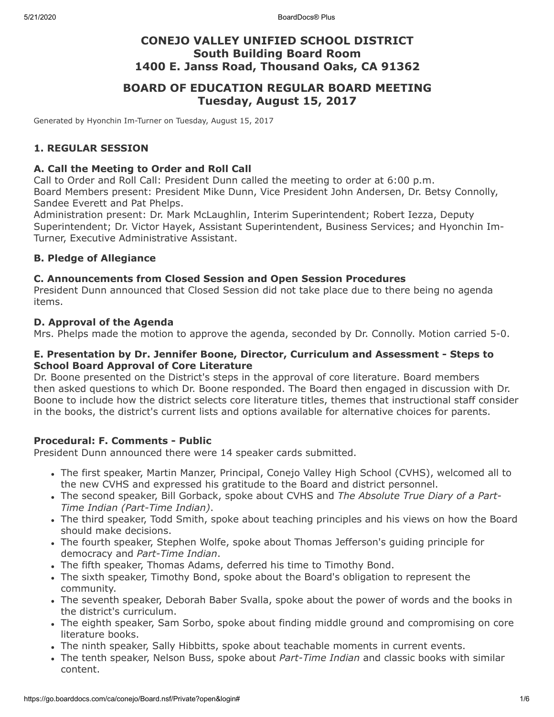## **CONEJO VALLEY UNIFIED SCHOOL DISTRICT South Building Board Room 1400 E. Janss Road, Thousand Oaks, CA 91362**

## **BOARD OF EDUCATION REGULAR BOARD MEETING Tuesday, August 15, 2017**

Generated by Hyonchin Im-Turner on Tuesday, August 15, 2017

### **1. REGULAR SESSION**

#### **A. Call the Meeting to Order and Roll Call**

Call to Order and Roll Call: President Dunn called the meeting to order at 6:00 p.m. Board Members present: President Mike Dunn, Vice President John Andersen, Dr. Betsy Connolly, Sandee Everett and Pat Phelps.

Administration present: Dr. Mark McLaughlin, Interim Superintendent; Robert Iezza, Deputy Superintendent; Dr. Victor Hayek, Assistant Superintendent, Business Services; and Hyonchin Im-Turner, Executive Administrative Assistant.

#### **B. Pledge of Allegiance**

#### **C. Announcements from Closed Session and Open Session Procedures**

President Dunn announced that Closed Session did not take place due to there being no agenda items.

#### **D. Approval of the Agenda**

Mrs. Phelps made the motion to approve the agenda, seconded by Dr. Connolly. Motion carried 5-0.

#### **E. Presentation by Dr. Jennifer Boone, Director, Curriculum and Assessment - Steps to School Board Approval of Core Literature**

Dr. Boone presented on the District's steps in the approval of core literature. Board members then asked questions to which Dr. Boone responded. The Board then engaged in discussion with Dr. Boone to include how the district selects core literature titles, themes that instructional staff consider in the books, the district's current lists and options available for alternative choices for parents.

## **Procedural: F. Comments - Public**

President Dunn announced there were 14 speaker cards submitted.

- The first speaker, Martin Manzer, Principal, Conejo Valley High School (CVHS), welcomed all to the new CVHS and expressed his gratitude to the Board and district personnel.
- The second speaker, Bill Gorback, spoke about CVHS and *The Absolute True Diary of a Part-Time Indian (Part-Time Indian)*.
- The third speaker, Todd Smith, spoke about teaching principles and his views on how the Board should make decisions.
- The fourth speaker, Stephen Wolfe, spoke about Thomas Jefferson's guiding principle for democracy and *Part-Time Indian*.
- The fifth speaker, Thomas Adams, deferred his time to Timothy Bond.
- The sixth speaker, Timothy Bond, spoke about the Board's obligation to represent the community.
- The seventh speaker, Deborah Baber Svalla, spoke about the power of words and the books in the district's curriculum.
- The eighth speaker, Sam Sorbo, spoke about finding middle ground and compromising on core literature books.
- The ninth speaker, Sally Hibbitts, spoke about teachable moments in current events.
- The tenth speaker, Nelson Buss, spoke about *Part-Time Indian* and classic books with similar content.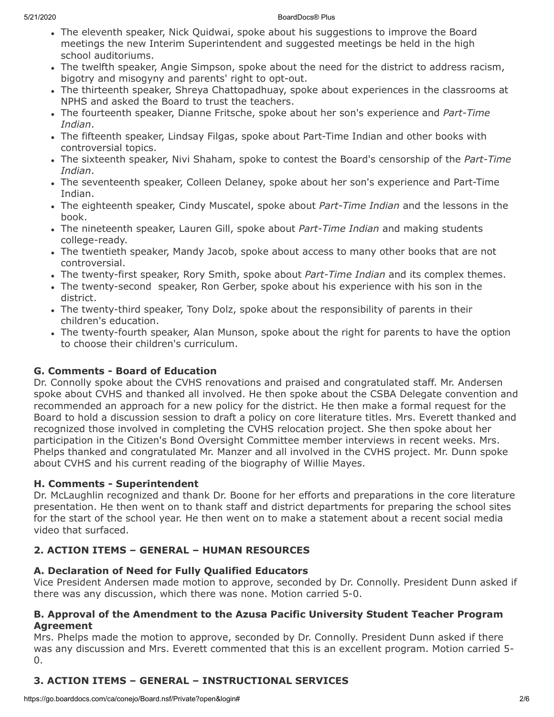- The eleventh speaker, Nick Quidwai, spoke about his suggestions to improve the Board meetings the new Interim Superintendent and suggested meetings be held in the high school auditoriums.
- The twelfth speaker, Angie Simpson, spoke about the need for the district to address racism, bigotry and misogyny and parents' right to opt-out.
- The thirteenth speaker, Shreya Chattopadhuay, spoke about experiences in the classrooms at NPHS and asked the Board to trust the teachers.
- The fourteenth speaker, Dianne Fritsche, spoke about her son's experience and *Part-Time Indian*.
- The fifteenth speaker, Lindsay Filgas, spoke about Part-Time Indian and other books with controversial topics.
- The sixteenth speaker, Nivi Shaham, spoke to contest the Board's censorship of the *Part-Time Indian*.
- The seventeenth speaker, Colleen Delaney, spoke about her son's experience and Part-Time Indian.
- The eighteenth speaker, Cindy Muscatel, spoke about *Part-Time Indian* and the lessons in the book.
- The nineteenth speaker, Lauren Gill, spoke about *Part-Time Indian* and making students college-ready.
- The twentieth speaker, Mandy Jacob, spoke about access to many other books that are not controversial.
- The twenty-first speaker, Rory Smith, spoke about *Part-Time Indian* and its complex themes.
- The twenty-second speaker, Ron Gerber, spoke about his experience with his son in the district.
- The twenty-third speaker, Tony Dolz, spoke about the responsibility of parents in their children's education.
- The twenty-fourth speaker, Alan Munson, spoke about the right for parents to have the option to choose their children's curriculum.

# **G. Comments - Board of Education**

Dr. Connolly spoke about the CVHS renovations and praised and congratulated staff. Mr. Andersen spoke about CVHS and thanked all involved. He then spoke about the CSBA Delegate convention and recommended an approach for a new policy for the district. He then make a formal request for the Board to hold a discussion session to draft a policy on core literature titles. Mrs. Everett thanked and recognized those involved in completing the CVHS relocation project. She then spoke about her participation in the Citizen's Bond Oversight Committee member interviews in recent weeks. Mrs. Phelps thanked and congratulated Mr. Manzer and all involved in the CVHS project. Mr. Dunn spoke about CVHS and his current reading of the biography of Willie Mayes.

## **H. Comments - Superintendent**

Dr. McLaughlin recognized and thank Dr. Boone for her efforts and preparations in the core literature presentation. He then went on to thank staff and district departments for preparing the school sites for the start of the school year. He then went on to make a statement about a recent social media video that surfaced.

# **2. ACTION ITEMS – GENERAL – HUMAN RESOURCES**

## **A. Declaration of Need for Fully Qualified Educators**

Vice President Andersen made motion to approve, seconded by Dr. Connolly. President Dunn asked if there was any discussion, which there was none. Motion carried 5-0.

## **B. Approval of the Amendment to the Azusa Pacific University Student Teacher Program Agreement**

Mrs. Phelps made the motion to approve, seconded by Dr. Connolly. President Dunn asked if there was any discussion and Mrs. Everett commented that this is an excellent program. Motion carried 5- 0.

# **3. ACTION ITEMS – GENERAL – INSTRUCTIONAL SERVICES**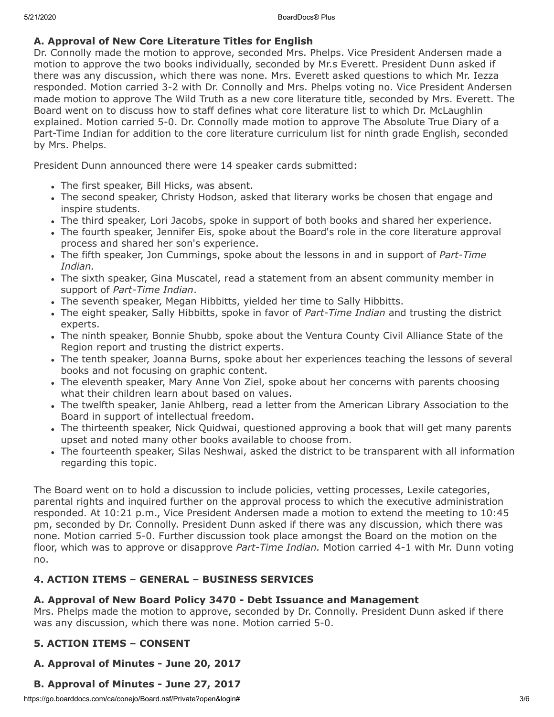## **A. Approval of New Core Literature Titles for English**

Dr. Connolly made the motion to approve, seconded Mrs. Phelps. Vice President Andersen made a motion to approve the two books individually, seconded by Mr.s Everett. President Dunn asked if there was any discussion, which there was none. Mrs. Everett asked questions to which Mr. Iezza responded. Motion carried 3-2 with Dr. Connolly and Mrs. Phelps voting no. Vice President Andersen made motion to approve The Wild Truth as a new core literature title, seconded by Mrs. Everett. The Board went on to discuss how to staff defines what core literature list to which Dr. McLaughlin explained. Motion carried 5-0. Dr. Connolly made motion to approve The Absolute True Diary of a Part-Time Indian for addition to the core literature curriculum list for ninth grade English, seconded by Mrs. Phelps.

President Dunn announced there were 14 speaker cards submitted:

- The first speaker, Bill Hicks, was absent.
- The second speaker, Christy Hodson, asked that literary works be chosen that engage and inspire students.
- The third speaker, Lori Jacobs, spoke in support of both books and shared her experience.
- The fourth speaker, Jennifer Eis, spoke about the Board's role in the core literature approval process and shared her son's experience.
- The fifth speaker, Jon Cummings, spoke about the lessons in and in support of *Part-Time Indian.*
- The sixth speaker, Gina Muscatel, read a statement from an absent community member in support of *Part-Time Indian*.
- The seventh speaker, Megan Hibbitts, yielded her time to Sally Hibbitts.
- The eight speaker, Sally Hibbitts, spoke in favor of *Part-Time Indian* and trusting the district experts.
- The ninth speaker, Bonnie Shubb, spoke about the Ventura County Civil Alliance State of the Region report and trusting the district experts.
- The tenth speaker, Joanna Burns, spoke about her experiences teaching the lessons of several books and not focusing on graphic content.
- The eleventh speaker, Mary Anne Von Ziel, spoke about her concerns with parents choosing what their children learn about based on values.
- The twelfth speaker, Janie Ahlberg, read a letter from the American Library Association to the Board in support of intellectual freedom.
- The thirteenth speaker, Nick Quidwai, questioned approving a book that will get many parents upset and noted many other books available to choose from.
- The fourteenth speaker, Silas Neshwai, asked the district to be transparent with all information regarding this topic.

The Board went on to hold a discussion to include policies, vetting processes, Lexile categories, parental rights and inquired further on the approval process to which the executive administration responded. At 10:21 p.m., Vice President Andersen made a motion to extend the meeting to 10:45 pm, seconded by Dr. Connolly. President Dunn asked if there was any discussion, which there was none. Motion carried 5-0. Further discussion took place amongst the Board on the motion on the floor, which was to approve or disapprove *Part-Time Indian.* Motion carried 4-1 with Mr. Dunn voting no.

## **4. ACTION ITEMS – GENERAL – BUSINESS SERVICES**

## **A. Approval of New Board Policy 3470 - Debt Issuance and Management**

Mrs. Phelps made the motion to approve, seconded by Dr. Connolly. President Dunn asked if there was any discussion, which there was none. Motion carried 5-0.

## **5. ACTION ITEMS – CONSENT**

## **A. Approval of Minutes - June 20, 2017**

## **B. Approval of Minutes - June 27, 2017**

https://go.boarddocs.com/ca/conejo/Board.nsf/Private?open&login# 3/6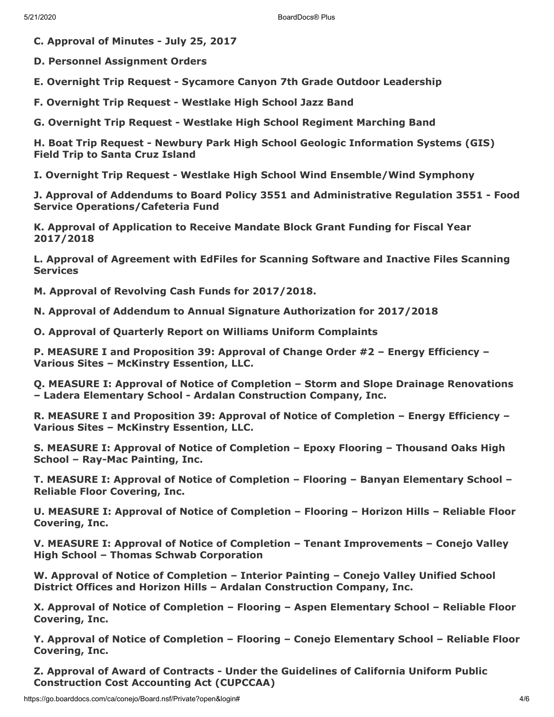**C. Approval of Minutes - July 25, 2017**

**D. Personnel Assignment Orders**

**E. Overnight Trip Request - Sycamore Canyon 7th Grade Outdoor Leadership**

**F. Overnight Trip Request - Westlake High School Jazz Band**

**G. Overnight Trip Request - Westlake High School Regiment Marching Band**

**H. Boat Trip Request - Newbury Park High School Geologic Information Systems (GIS) Field Trip to Santa Cruz Island**

**I. Overnight Trip Request - Westlake High School Wind Ensemble/Wind Symphony**

**J. Approval of Addendums to Board Policy 3551 and Administrative Regulation 3551 - Food Service Operations/Cafeteria Fund**

**K. Approval of Application to Receive Mandate Block Grant Funding for Fiscal Year 2017/2018**

**L. Approval of Agreement with EdFiles for Scanning Software and Inactive Files Scanning Services**

**M. Approval of Revolving Cash Funds for 2017/2018.**

**N. Approval of Addendum to Annual Signature Authorization for 2017/2018**

**O. Approval of Quarterly Report on Williams Uniform Complaints**

**P. MEASURE I and Proposition 39: Approval of Change Order #2 – Energy Efficiency – Various Sites – McKinstry Essention, LLC.**

**Q. MEASURE I: Approval of Notice of Completion – Storm and Slope Drainage Renovations – Ladera Elementary School - Ardalan Construction Company, Inc.**

**R. MEASURE I and Proposition 39: Approval of Notice of Completion – Energy Efficiency – Various Sites – McKinstry Essention, LLC.**

**S. MEASURE I: Approval of Notice of Completion – Epoxy Flooring – Thousand Oaks High School – Ray-Mac Painting, Inc.**

**T. MEASURE I: Approval of Notice of Completion – Flooring – Banyan Elementary School – Reliable Floor Covering, Inc.**

**U. MEASURE I: Approval of Notice of Completion – Flooring – Horizon Hills – Reliable Floor Covering, Inc.**

**V. MEASURE I: Approval of Notice of Completion – Tenant Improvements – Conejo Valley High School – Thomas Schwab Corporation**

**W. Approval of Notice of Completion – Interior Painting – Conejo Valley Unified School District Offices and Horizon Hills – Ardalan Construction Company, Inc.**

**X. Approval of Notice of Completion – Flooring – Aspen Elementary School – Reliable Floor Covering, Inc.**

**Y. Approval of Notice of Completion – Flooring – Conejo Elementary School – Reliable Floor Covering, Inc.**

**Z. Approval of Award of Contracts - Under the Guidelines of California Uniform Public Construction Cost Accounting Act (CUPCCAA)**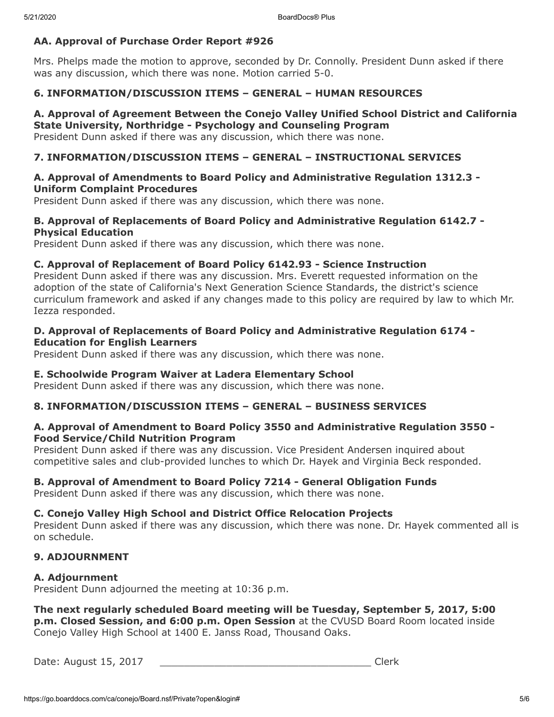## **AA. Approval of Purchase Order Report #926**

Mrs. Phelps made the motion to approve, seconded by Dr. Connolly. President Dunn asked if there was any discussion, which there was none. Motion carried 5-0.

## **6. INFORMATION/DISCUSSION ITEMS – GENERAL – HUMAN RESOURCES**

# **A. Approval of Agreement Between the Conejo Valley Unified School District and California State University, Northridge - Psychology and Counseling Program**

President Dunn asked if there was any discussion, which there was none.

## **7. INFORMATION/DISCUSSION ITEMS – GENERAL – INSTRUCTIONAL SERVICES**

#### **A. Approval of Amendments to Board Policy and Administrative Regulation 1312.3 - Uniform Complaint Procedures**

President Dunn asked if there was any discussion, which there was none.

### **B. Approval of Replacements of Board Policy and Administrative Regulation 6142.7 - Physical Education**

President Dunn asked if there was any discussion, which there was none.

#### **C. Approval of Replacement of Board Policy 6142.93 - Science Instruction**

President Dunn asked if there was any discussion. Mrs. Everett requested information on the adoption of the state of California's Next Generation Science Standards, the district's science curriculum framework and asked if any changes made to this policy are required by law to which Mr. Iezza responded.

#### **D. Approval of Replacements of Board Policy and Administrative Regulation 6174 - Education for English Learners**

President Dunn asked if there was any discussion, which there was none.

#### **E. Schoolwide Program Waiver at Ladera Elementary School**

President Dunn asked if there was any discussion, which there was none.

## **8. INFORMATION/DISCUSSION ITEMS – GENERAL – BUSINESS SERVICES**

#### **A. Approval of Amendment to Board Policy 3550 and Administrative Regulation 3550 - Food Service/Child Nutrition Program**

President Dunn asked if there was any discussion. Vice President Andersen inquired about competitive sales and club-provided lunches to which Dr. Hayek and Virginia Beck responded.

#### **B. Approval of Amendment to Board Policy 7214 - General Obligation Funds**

President Dunn asked if there was any discussion, which there was none.

#### **C. Conejo Valley High School and District Office Relocation Projects**

President Dunn asked if there was any discussion, which there was none. Dr. Hayek commented all is on schedule.

## **9. ADJOURNMENT**

#### **A. Adjournment**

President Dunn adjourned the meeting at 10:36 p.m.

#### **The next regularly scheduled Board meeting will be Tuesday, September 5, 2017, 5:00 p.m. Closed Session, and 6:00 p.m. Open Session** at the CVUSD Board Room located inside Conejo Valley High School at 1400 E. Janss Road, Thousand Oaks.

Date: August 15, 2017 \_\_\_\_\_\_\_\_\_\_\_\_\_\_\_\_\_\_\_\_\_\_\_\_\_\_\_\_\_\_\_\_\_\_\_ Clerk